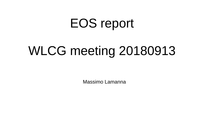## EOS report

# WLCG meeting 20180913

Massimo Lamanna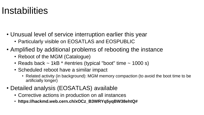#### **Instabilities**

- Unusual level of service interruption earlier this year
	- Particularly visible on EOSATLAS and EOSPUBLIC
- Amplified by additional problems of rebooting the instance
	- Reboot of the MGM (Catalogue)
	- Reads back  $\sim$  1kB  $*$  #entries (typical "boot" time  $\sim$  1000 s)
	- Scheduled reboot have a similar impact
		- Related activity (in background): MGM memory compaction (to avoid the boot time to be artificially longer)
- Detailed analysis (EOSATLAS) available
	- Corrective actions in production on all instances
	- **https://hackmd.web.cern.ch/xOCz\_B3WRYq5yqBW38ehtQ#**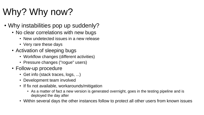## Why? Why now?

- Why instabilities pop up suddenly?
	- No clear correlations with new bugs
		- New undetected issues in a new release
		- Very rare these days
	- Activation of sleeping bugs
		- Workflow changes (different activities)
		- Pressure changes ("rogue" users)
	- Follow-up procedure
		- Get info (stack traces, logs, ...)
		- Development team involved
		- If fix not available, workarounds/mitigation
			- As a matter of fact a new version is generated overnight, goes in the testing pipeline and is deployed the day after
		- Within several days the other instances follow to protect all other users from known issues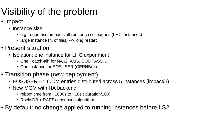## Visibility of the problem

- Impact
	- Instance size
		- e.g. rogue user impacts all (but only) colleagues (LHC instances)
		- large instance (n. of files) --> long restart
- Present situation
	- Isolation: one instance for LHC experiment
		- One "catch-all" for NA62, AMS, COMPASS, ...
		- One instance for EOSUSER (CERNBox)
- Transition phase (new deployment)
	- EOSUSER --> 600M entries distributed across 5 instances (impact/5)
	- New MGM with HA backend
		- reboot time from  $\sim$  1000s to  $\sim$  10s ( duration/100)
		- RocksDB + RAFT consensus algorithm
- By default: no change applied to running instances before LS2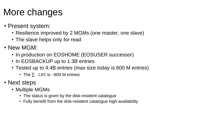## More changes

- Present system:
	- Resilience improved by 2 MGMs (one master, one slave)
	- The slave helps only for read
- New MGM:
	- In production on EOSHOME (EOSUSER successor)
	- In EOSBACKUP up to 1.3B entries
	- Tested up to 4.4B entries (max size today is 600 M entries)
		- The  $\Sigma$  LHC is ~800 M entries
- Next steps
	- Multiple MGMs
		- The status is given by the disk-resident catalogue
		- Fully benefit from the disk-resident catalogue high-availability